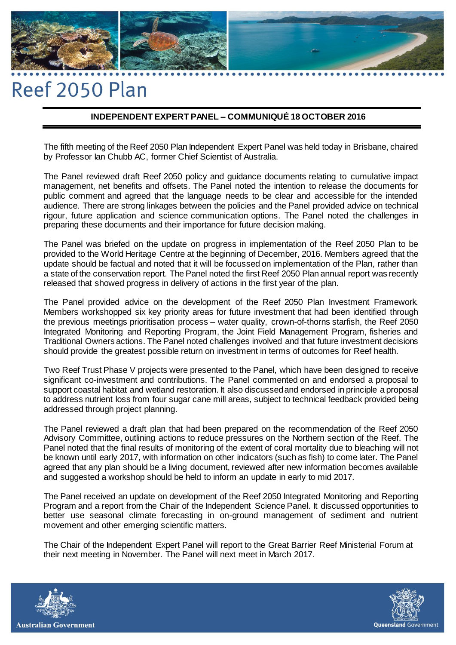# Reef 2050 Plan

## **INDEPENDENT EXPERT PANEL – COMMUNIQUÉ 18 OCTOBER 2016**

The fifth meeting of the Reef 2050 Plan Independent Expert Panel was held today in Brisbane, chaired by Professor Ian Chubb AC, former Chief Scientist of Australia.

The Panel reviewed draft Reef 2050 policy and guidance documents relating to cumulative impact management, net benefits and offsets. The Panel noted the intention to release the documents for public comment and agreed that the language needs to be clear and accessible for the intended audience. There are strong linkages between the policies and the Panel provided advice on technical rigour, future application and science communication options. The Panel noted the challenges in preparing these documents and their importance for future decision making.

The Panel was briefed on the update on progress in implementation of the Reef 2050 Plan to be provided to the World Heritage Centre at the beginning of December, 2016. Members agreed that the update should be factual and noted that it will be focussed on implementation of the Plan, rather than a state of the conservation report. The Panel noted the first Reef 2050 Plan annual report was recently released that showed progress in delivery of actions in the first year of the plan.

The Panel provided advice on the development of the Reef 2050 Plan Investment Framework. Members workshopped six key priority areas for future investment that had been identified through the previous meetings prioritisation process – water quality, crown-of-thorns starfish, the Reef 2050 Integrated Monitoring and Reporting Program, the Joint Field Management Program, fisheries and Traditional Owners actions. The Panel noted challenges involved and that future investment decisions should provide the greatest possible return on investment in terms of outcomes for Reef health.

Two Reef Trust Phase V projects were presented to the Panel, which have been designed to receive significant co-investment and contributions. The Panel commented on and endorsed a proposal to support coastal habitat and wetland restoration. It also discussed and endorsed in principle a proposal to address nutrient loss from four sugar cane mill areas, subject to technical feedback provided being addressed through project planning.

The Panel reviewed a draft plan that had been prepared on the recommendation of the Reef 2050 Advisory Committee, outlining actions to reduce pressures on the Northern section of the Reef. The Panel noted that the final results of monitoring of the extent of coral mortality due to bleaching will not be known until early 2017, with information on other indicators (such as fish) to come later. The Panel agreed that any plan should be a living document, reviewed after new information becomes available and suggested a workshop should be held to inform an update in early to mid 2017.

The Panel received an update on development of the Reef 2050 Integrated Monitoring and Reporting Program and a report from the Chair of the Independent Science Panel. It discussed opportunities to better use seasonal climate forecasting in on-ground management of sediment and nutrient movement and other emerging scientific matters.

The Chair of the Independent Expert Panel will report to the Great Barrier Reef Ministerial Forum at their next meeting in November. The Panel will next meet in March 2017.